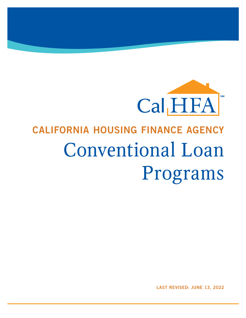

# CALIFORNIA HOUSING FINANCE AGENCY Conventional Loan Programs

LAST REVISED: JUNE 13, 2022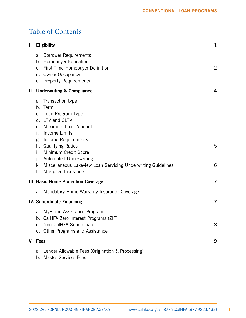# Table of Contents

| I. | <b>Eligibility</b>                                                                                                                                                                                                                                                                                                                                   | $\mathbf{1}$ |
|----|------------------------------------------------------------------------------------------------------------------------------------------------------------------------------------------------------------------------------------------------------------------------------------------------------------------------------------------------------|--------------|
|    | a. Borrower Requirements<br>b. Homebuyer Education<br>c. First-Time Homebuyer Definition<br>d. Owner Occupancy<br>e. Property Requirements                                                                                                                                                                                                           | 2            |
|    | II. Underwriting & Compliance                                                                                                                                                                                                                                                                                                                        | 4            |
|    | a. Transaction type<br>b. Term<br>c. Loan Program Type<br>d. LTV and CLTV<br>Maximum Loan Amount<br>e.<br>Income Limits<br>f.<br>g. Income Requirements<br>h. Qualifying Ratios<br>Minimum Credit Score<br>i.<br><b>Automated Underwriting</b><br>j.<br>k. Miscellaneous Lakeview Loan Servicing Underwriting Guidelines<br>Mortgage Insurance<br>I. | 5<br>6       |
|    | III. Basic Home Protection Coverage                                                                                                                                                                                                                                                                                                                  | 7            |
|    | Mandatory Home Warranty Insurance Coverage<br>a.                                                                                                                                                                                                                                                                                                     |              |
|    | <b>IV. Subordinate Financing</b>                                                                                                                                                                                                                                                                                                                     | 7            |
|    | a. MyHome Assistance Program<br>b. CalHFA Zero Interest Programs (ZIP)<br>Non-CalHFA Subordinate<br><b>Other Programs and Assistance</b><br>d.                                                                                                                                                                                                       | 8            |
|    | V. Fees                                                                                                                                                                                                                                                                                                                                              | 9            |
|    | Lender Allowable Fees (Origination & Processing)<br>a.<br>Master Servicer Fees<br>b.                                                                                                                                                                                                                                                                 |              |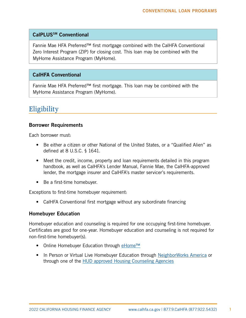#### <span id="page-2-0"></span>CalPLUSSM Conventional

Fannie Mae HFA Preferred™ first mortgage combined with the CalHFA Conventional Zero Interest Program (ZIP) for closing cost. This loan may be combined with the MyHome Assistance Program (MyHome).

#### CalHFA Conventional

Fannie Mae HFA Preferred™ first mortgage. This loan may be combined with the MyHome Assistance Program (MyHome).

## **Eligibility**

#### Borrower Requirements

Each borrower must:

- Be either a citizen or other National of the United States, or a "Qualified Alien" as defined at 8 U.S.C. § 1641.
- Meet the credit, income, property and loan requirements detailed in this program handbook, as well as CalHFA's Lender Manual, Fannie Mae, the CalHFA-approved lender, the mortgage insurer and CalHFA's master servicer's requirements.
- Be a first-time homebuyer.

Exceptions to first-time homebuyer requirement:

• CalHFA Conventional first mortgage without any subordinate financing

#### Homebuyer Education

Homebuyer education and counseling is required for one occupying first-time homebuyer. Certificates are good for one-year. Homebuyer education and counseling is not required for non-first-time homebuyer(s).

- Online Homebuyer Education through [eHome™](https://calhfa.ehomeamerica.org/sponsor_user/sponsor_main)
- In Person or Virtual Live Homebuyer Education through [NeighborWorks America](http://www.nw.org/network/nwdata/homeownershipcenter.asp) or through one of the [HUD approved Housing Counseling Agencies](http://hud.gov/offices/hsg/sfh/hcc/hcs.cfm?weblistaction=summary)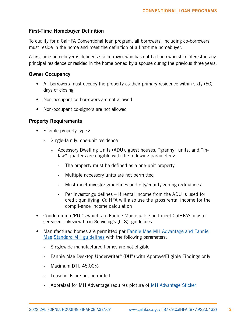#### <span id="page-3-0"></span>First-Time Homebuyer Definition

To qualify for a CalHFA Conventional loan program, all borrowers, including co-borrowers must reside in the home and meet the definition of a first-time homebuyer.

A first-time homebuyer is defined as a borrower who has not had an ownership interest in any principal residence or resided in the home owned by a spouse during the previous three years.

#### Owner Occupancy

- All borrowers must occupy the property as their primary residence within sixty (60) days of closing
- Non-occupant co-borrowers are not allowed
- Non-occupant co-signors are not allowed

#### Property Requirements

- Eligible property types:
	- › Single-family, one-unit residence
		- » Accessory Dwelling Units (ADU), guest houses, "granny" units, and "inlaw" quarters are eligible with the following parameters:
			- · The property must be defined as a one-unit property
			- Multiple accessory units are not permitted
			- · Must meet investor guidelines and city/county zoning ordinances
			- · Per investor guidelines If rental income from the ADU is used for credit qualifying, CalHFA will also use the gross rental income for the compli-ance income calculation
- Condominium/PUDs which are Fannie Mae eligible and meet CalHFA's master ser-vicer, Lakeview Loan Servicing's (LLS), guidelines
- Manufactured homes are permitted per Fannie Mae MH Advantage and Fannie Mae [Standard MH guidelines](https://www.fanniemae.com/content/guide/selling/b2/3/02.html) with the [following parameters:](https://www.fanniemae.com/content/guide/selling/b2/3/02.html)
	- › Singlewide manufactured homes are not eligible
	- › Fannie Mae Desktop Underwriter® (DU®) with Approve/Eligible Findings only
	- › Maximum DTI: 45.00%
	- › Leaseholds are not permitted
	- › Appraisal for MH Advantage requires picture of [MH Advantage Sticker](https://www.fanniemae.com/content/fact_sheet/mh-advantage-appraisal-requirements.pdf)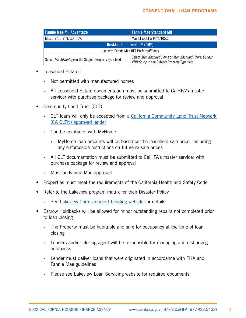| <b>Fannie Mae MH Advantage</b>                         | <b>Fannie Mae Standard MH</b>                                                                         |  |
|--------------------------------------------------------|-------------------------------------------------------------------------------------------------------|--|
| Max LTV/CLTV: 97%/105%                                 | Max LTV/CLTV: 95%/105%                                                                                |  |
| Desktop Underwriter <sup>®</sup> (DU <sup>®</sup> )    |                                                                                                       |  |
| Use with Fannie Mae HFA Preferred™ only                |                                                                                                       |  |
| Select MH Advantage in the Subject Property Type field | Select Manufactured Home or Manufactured Home: Condo/<br>PUD/Co-op in the Subject Property Type field |  |

- Leasehold Estates
	- › Not permitted with manufactured homes
	- › All Leasehold Estate documentation must be submitted to CalHFA's master servicer with purchase package for review and approval
- Community Land Trust (CLT)
	- › CLT loans will only be accepted from a [California Community Land Trust Network](https://www.calhfa.ca.gov/homeownership/programs/cacltn-lenders.htm)  [\(CA CLTN\) approved lender](https://www.calhfa.ca.gov/homeownership/programs/cacltn-lenders.htm)
	- › Can be combined with MyHome
		- » MyHome loan amounts will be based on the leasehold sale price, including any enforceable restrictions on future re-sale prices
	- › All CLT documentation must be submitted to CalHFA's master servicer with purchase package for review and approval
	- › Must be Fannie Mae approved
- Properties must meet the requirements of the California Health and Safety Code
- Refer to the Lakeview program matrix for their Disaster Policy
	- › See [Lakeview Correspondent Lending website](https://www.mrn3.com/Client/bayview.asp) for details
- Escrow Holdbacks will be allowed for minor outstanding repairs not completed prior to loan closing
	- $\rightarrow$  The Property must be habitable and safe for occupancy at the time of loan closing
	- › Lenders and/or closing agent will be responsible for managing and disbursing holdbacks
	- › Lender must deliver loans that were originated in accordance with FHA and Fannie Mae guidelines
	- › Please see Lakeview Loan Servicing website for required documents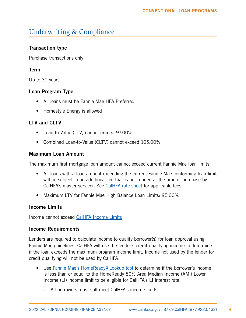# <span id="page-5-0"></span>Underwriting & Compliance

## Transaction type

Purchase transactions only

## Term

Up to 30 years

## Loan Program Type

- All loans must be Fannie Mae HFA Preferred
- Homestyle Energy is allowed

## LTV and CLTV

- Loan-to-Value (LTV) cannot exceed 97.00%
- Combined Loan-to-Value (CLTV) cannot exceed 105.00%

## Maximum Loan Amount

The maximum first mortgage loan amount cannot exceed current Fannie Mae loan limits.

- All loans with a loan amount exceeding the current Fannie Mae conforming loan limit will be subject to an additional fee that is net funded at the time of purchase by CalHFA's master servicer. See [CalHFA rate sheet](http://www.calhfa.ca.gov/apps/rates/) for applicable fees.
- Maximum LTV for Fannie Mae High Balance Loan Limits: 95.00%

## Income Limits

Income cannot exceed CalHFA [Income Limits](http://www.calhfa.ca.gov/homeownership/limits/income/income.pdf)

#### Income Requirements

Lenders are required to calculate income to qualify borrower(s) for loan approval using Fannie Mae guidelines. CalHFA will use the lender's credit qualifying income to determine if the loan exceeds the maximum program income limit. Income not used by the lender for credit qualifying will not be used by CalHFA.

- Use Fannie Mae's HomeReady<sup>®</sup> Lookup tool to determine if the borrower's income is less than or equal to the HomeReady 80% Area Median Income (AMI) Lower Income (LI) income limit to be eligible for CalHFA's LI interest rate.
	- All borrowers must still meet CalHFA's income limits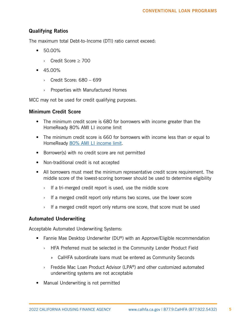## <span id="page-6-0"></span>Qualifying Ratios

The maximum total Debt-to-Income (DTI) ratio cannot exceed:

- 50.00%
	- › Credit Score ≥ 700
- $45.00\%$ 
	- › Credit Score: 680 699
	- › Properties with Manufactured Homes

MCC may not be used for credit qualifying purposes.

#### Minimum Credit Score

- The minimum credit score is 680 for borrowers with income greater than the HomeReady 80% AMI LI income limit
- The minimum credit score is 660 for borrowers with income less than or equal to HomeReady [80% AMI LI income limit.](https://ami-lookup-tool.fanniemae.com/amilookuptool/)
- Borrower(s) with no credit score are not permitted
- Non-traditional credit is not accepted
- All borrowers must meet the minimum representative credit score requirement. The middle score of the lowest-scoring borrower should be used to determine eligibility
	- $\rightarrow$  If a tri-merged credit report is used, use the middle score
	- $\rightarrow$  If a merged credit report only returns two scores, use the lower score
	- $\rightarrow$  If a merged credit report only returns one score, that score must be used

## Automated Underwriting

Acceptable Automated Underwriting Systems:

- Fannie Mae Desktop Underwriter (DU®) with an Approve/Eligible recommendation
	- › HFA Preferred must be selected in the Community Lender Product Field
		- » CalHFA subordinate loans must be entered as Community Seconds
	- › Freddie Mac Loan Product Advisor (LPA®) and other customized automated underwriting systems are not acceptable
- Manual Underwriting is not permitted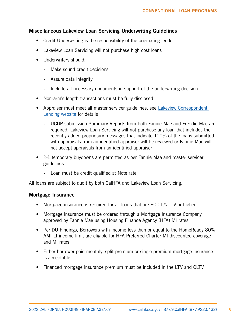#### <span id="page-7-0"></span>Miscellaneous Lakeview Loan Servicing Underwriting Guidelines

- Credit Underwriting is the responsibility of the originating lender
- Lakeview Loan Servicing will not purchase high cost loans
- Underwriters should:
	- › Make sound credit decisions
	- › Assure data integrity
	- $\rightarrow$  Include all necessary documents in support of the underwriting decision
- Non-arm's length transactions must be fully disclosed
- Appraiser must meet all master servicer guidelines, see Lakeview Correspondent [Lending website](https://www.mrn3.com/Client/bayview.asp) for details
	- › UCDP submission Summary Reports from both Fannie Mae and Freddie Mac are required. Lakeview Loan Servicing will not purchase any loan that includes the recently added proprietary messages that indicate 100% of the loans submitted with appraisals from an identified appraiser will be reviewed or Fannie Mae will not accept appraisals from an identified appraiser
- 2-1 temporary buydowns are permitted as per Fannie Mae and master servicer guidelines
	- › Loan must be credit qualified at Note rate

All loans are subject to audit by both CalHFA and Lakeview Loan Servicing.

#### Mortgage Insurance

- Mortgage insurance is required for all loans that are 80.01% LTV or higher
- Mortgage insurance must be ordered through a Mortgage Insurance Company approved by Fannie Mae using Housing Finance Agency (HFA) MI rates
- Per DU Findings, Borrowers with income less than or equal to the HomeReady 80% AMI LI income limit are eligible for HFA Preferred Charter MI discounted coverage and MI rates
- Either borrower paid monthly, split premium or single premium mortgage insurance is acceptable
- Financed mortgage insurance premium must be included in the LTV and CLTV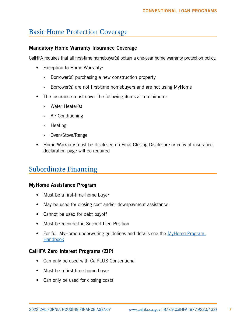# <span id="page-8-0"></span>Basic Home Protection Coverage

#### Mandatory Home Warranty Insurance Coverage

CalHFA requires that all first-time homebuyer(s) obtain a one-year home warranty protection policy.

- Exception to Home Warranty:
	- › Borrower(s) purchasing a new construction property
	- $\rightarrow$  Borrower(s) are not first-time homebuyers and are not using MyHome
- The insurance must cover the following items at a minimum:
	- › Water Heater(s)
	- › Air Conditioning
	- › Heating
	- › Oven/Stove/Range
- Home Warranty must be disclosed on Final Closing Disclosure or copy of insurance declaration page will be required

## Subordinate Financing

#### MyHome Assistance Program

- Must be a first-time home buyer
- May be used for closing cost and/or downpayment assistance
- Cannot be used for debt payoff
- Must be recorded in Second Lien Position
- For full MyHome underwriting guidelines and details see the MyHome Program [Handbook](http://www.calhfa.ca.gov/homeownership/programs/myhome.pdf)

## CalHFA Zero Interest Programs (ZIP)

- Can only be used with CalPLUS Conventional
- Must be a first-time home buyer
- Can only be used for closing costs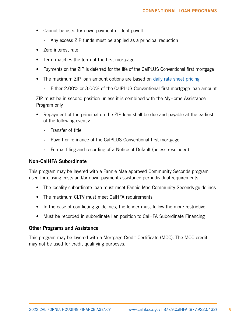- <span id="page-9-0"></span>• Cannot be used for down payment or debt payoff
	- $\rightarrow$  Any excess ZIP funds must be applied as a principal reduction
- Zero interest rate
- Term matches the term of the first mortgage.
- Payments on the ZIP is deferred for the life of the CalPLUS Conventional first mortgage
- The maximum ZIP loan amount options are based on [daily rate sheet pricing](https://www.calhfa.ca.gov/apps/rates/)
	- › Either 2.00% or 3.00% of the CalPLUS Conventional first mortgage loan amount

ZIP must be in second position unless it is combined with the MyHome Assistance Program only

- Repayment of the principal on the ZIP loan shall be due and payable at the earliest of the following events:
	- › Transfer of title
	- › Payoff or refinance of the CalPLUS Conventional first mortgage
	- › Formal filing and recording of a Notice of Default (unless rescinded)

#### Non-CalHFA Subordinate

This program may be layered with a Fannie Mae approved Community Seconds program used for closing costs and/or down payment assistance per individual requirements.

- The locality subordinate loan must meet Fannie Mae Community Seconds guidelines
- The maximum CLTV must meet CalHFA requirements
- In the case of conflicting guidelines, the lender must follow the more restrictive
- Must be recorded in subordinate lien position to CalHFA Subordinate Financing

#### Other Programs and Assistance

This program may be layered with a Mortgage Credit Certificate (MCC). The MCC credit may not be used for credit qualifying purposes.